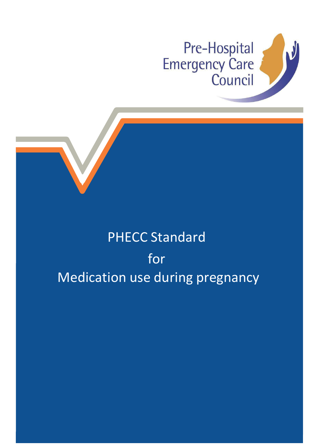

## PHECC Standard for Medication use during pregnancy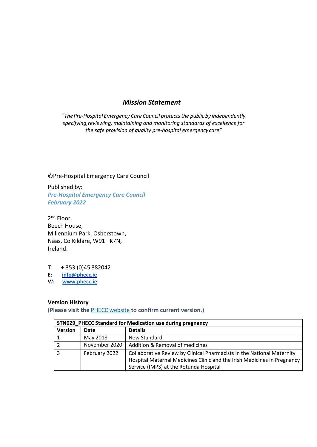## *Mission Statement*

*"The Pre-Hospital Emergency Care Council protectsthe public by independently specifying,reviewing, maintaining and monitoring standards of excellence for the safe provision of quality pre-hospital emergency care"*

©Pre-Hospital Emergency Care Council

Published by: *Pre-Hospital Emergency Care Council February 2022*

2<sup>nd</sup> Floor, Beech House, Millennium Park, Osberstown, Naas, Co Kildare, W91 TK7N, Ireland.

T: + 353 (0)45 882042

**E: [info@phecc.ie](mailto:info@phecc.ie)**

W**: [www.phecc.ie](http://www.phecc.ie/)**

## **Version History**

**(Please visit the** PHECC [website](http://www.phecit.ie/PHECC/Clinical_resources/Clinical_Standards/PHECC/Clinical_Resources/Clinical_Standards/Clinical_Standards.aspx?Hkey=8a152974-f9b2-4294-b14d-09aa23d6403e) **to confirm current version.)**

| STN029 PHECC Standard for Medication use during pregnancy |               |                                                                                                                                                                                             |  |  |  |  |
|-----------------------------------------------------------|---------------|---------------------------------------------------------------------------------------------------------------------------------------------------------------------------------------------|--|--|--|--|
| <b>Version</b>                                            | Date          | <b>Details</b>                                                                                                                                                                              |  |  |  |  |
|                                                           | May 2018      | New Standard                                                                                                                                                                                |  |  |  |  |
|                                                           | November 2020 | Addition & Removal of medicines                                                                                                                                                             |  |  |  |  |
|                                                           | February 2022 | Collaborative Review by Clinical Pharmacists in the National Maternity<br>Hospital Maternal Medicines Clinic and the Irish Medicines in Pregnancy<br>Service (IMPS) at the Rotunda Hospital |  |  |  |  |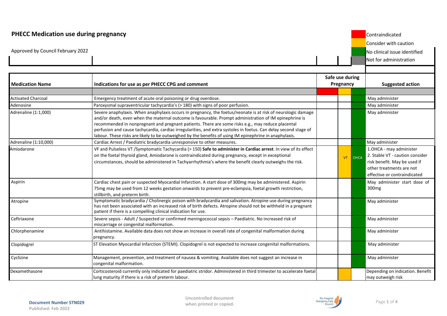## **PHECC Medication use during pregnancy** Contraindicated Consider with caution Approved by Council February 2022 2008 No clinical issue identified Not for administration **Medication Name Indications for use as per PHECC CPG and comment Safe use during Pregnancy Suggested action** Activated Charcoal **Emergency treatment of acute oral poisoning or drug overdose**. Adenosine Paroxysmal supraventricular tachycardia's (> 180) with signs of poor perfusion. Adrenaline (1:1,000) Severe anaphylaxis. When anaphylaxis occurs in pregnancy, the foetus/neonate is at risk of neurologic damage and/or death, even when the maternal outcome is favourable. Prompt administration of IM epinephrine is recommended in nonpregnant and pregnant patients. There are some risks e.g., may reduce placental perfusion and cause tachycardia, cardiac irregularities, and extra systoles in foetus. Can delay second stage of labour. These risks are likely to be outweighed by the benefits of using IM epinephrine in anaphylaxis. May administer Adrenaline (1:10,000) Cardiac Arrest / Paediatric bradycardia unresponsive to other measures. Amiodarone VF and Pulseless VT /Symptomatic Tachycardia (> 150) **Safe to administer in Cardiac arrest**. In view of its effect on the foetal thyroid gland, Amiodarone is contraindicated during pregnancy, except in exceptional circumstances, should be administered in Tachyarrhythmia's where the benefit clearly outweighs the risk. VT OHCA 1.OHCA - may administer 2. Stable VT - caution consider risk benefit. May be used if other treatments are not effective or contraindicated Aspirin Cardiac chest pain or suspected Myocardial Infarction. A start dose of 300mg may be administered. Aspirin 75mg may be used from 12 weeks gestation onwards to prevent pre-eclampsia, foetal growth restriction, stillbirth, and preterm birth. May administer start dose of 300mg Atropine Symptomatic bradycardia / Cholinergic poison with bradycardia and salivation. Atropine use during pregnancy has not been associated with an increased risk of birth defects. Atropine should not be withheld in a pregnant patient if there is a compelling clinical indication for use. May administer Ceftriaxone Severe sepsis - Adult / Suspected or confirmed meningococcal sepsis – Paediatric. No increased risk of miscarriage or congenital malformation. May administer Chlorphenamine Antihistamine. Available data does not show an increase in overall rate of congenital malformation during pregnancy. May administer Clopidogrel ST Elevation Myocardial Infarction (STEMI). Clopidogrel is not expected to increase congenital malformations. Cyclizine Management, prevention, and treatment of nausea & vomiting. Available does not suggest an increase in congenital malformation. May administer Dexamethasone **Corticosteroid currently only indicated for paediatric stridor.** Administered in third trimester to accelerate foetal lung maturity if there is a risk of preterm labour. Depending on indication. Benefit may outweigh risk

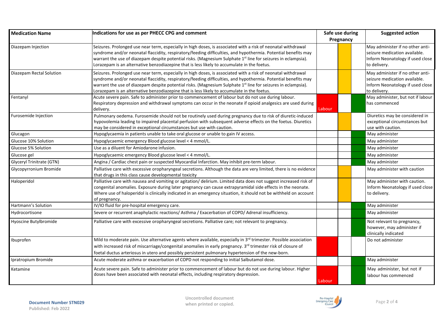| <b>Medication Name</b>    | Indications for use as per PHECC CPG and comment                                                                                                                                                                                                                                                                                                                                                                                                            |        | Safe use during<br>Pregnancy |  | <b>Suggested action</b>                                                                                               |
|---------------------------|-------------------------------------------------------------------------------------------------------------------------------------------------------------------------------------------------------------------------------------------------------------------------------------------------------------------------------------------------------------------------------------------------------------------------------------------------------------|--------|------------------------------|--|-----------------------------------------------------------------------------------------------------------------------|
| Diazepam Injection        | Seizures. Prolonged use near term, especially in high doses, is associated with a risk of neonatal withdrawal<br>syndrome and/or neonatal flaccidity, respiratory/feeding difficulties, and hypothermia. Potential benefits may<br>warrant the use of diazepam despite potential risks. (Magnesium Sulphate 1 <sup>st</sup> line for seizures in eclampsia).<br>Lorazepam is an alternative benzodiazepine that is less likely to accumulate in the foetus. |        |                              |  | May administer if no other anti-<br>seizure medication available.<br>Inform Neonatology if used close<br>to delivery. |
| Diazepam Rectal Solution  | Seizures. Prolonged use near term, especially in high doses, is associated with a risk of neonatal withdrawal<br>syndrome and/or neonatal flaccidity, respiratory/feeding difficulties, and hypothermia. Potential benefits may<br>warrant the use of diazepam despite potential risks. (Magnesium Sulphate 1 <sup>st</sup> line for seizures in eclampsia).<br>Lorazepam is an alternative benzodiazepine that is less likely to accumulate in the foetus. |        |                              |  | May administer if no other anti-<br>seizure medication available.<br>Inform Neonatology if used close<br>to delivery. |
| Fentanyl                  | Acute severe pain. Safe to administer prior to commencement of labour but do not use during labour.<br>Respiratory depression and withdrawal symptoms can occur in the neonate if opioid analgesics are used during<br>delivery.                                                                                                                                                                                                                            | Labour |                              |  | May administer, but not if labour<br>has commenced                                                                    |
| Furosemide Injection      | Pulmonary oedema. Furosemide should not be routinely used during pregnancy due to risk of diuretic-induced<br>hypovolemia leading to impaired placental perfusion with subsequent adverse effects on the foetus. Diuretics<br>may be considered in exceptional circumstances but use with caution.                                                                                                                                                          |        |                              |  | Diuretics may be considered in<br>exceptional circumstances but<br>use with caution.                                  |
| Glucagon                  | Hypoglycaemia in patients unable to take oral glucose or unable to gain IV access.                                                                                                                                                                                                                                                                                                                                                                          |        |                              |  | May administer                                                                                                        |
| Glucose 10% Solution      | Hypoglycaemic emergency Blood glucose level < 4 mmol/L.                                                                                                                                                                                                                                                                                                                                                                                                     |        |                              |  | May administer                                                                                                        |
| Glucose 5% Solution       | Use as a diluent for Amiodarone infusion.                                                                                                                                                                                                                                                                                                                                                                                                                   |        |                              |  | May administer                                                                                                        |
| Glucose gel               | Hypoglycaemic emergency Blood glucose level < 4 mmol/L.                                                                                                                                                                                                                                                                                                                                                                                                     |        |                              |  | May administer                                                                                                        |
| Glyceryl Trinitrate (GTN) | Angina / Cardiac chest pain or suspected Myocardial Infarction. May inhibit pre-term labour.                                                                                                                                                                                                                                                                                                                                                                |        |                              |  | May administer                                                                                                        |
| Glycopyrronium Bromide    | Palliative care with excessive oropharyngeal secretions. Although the data are very limited, there is no evidence<br>that drugs in this class cause developmental toxicity                                                                                                                                                                                                                                                                                  |        |                              |  | May administer with caution                                                                                           |
| Haloperidol               | Palliative care with nausea and vomiting or agitation/ delirium. Limited data does not suggest increased risk of<br>congenital anomalies. Exposure during later pregnancy can cause extrapyramidal side effects in the neonate.<br>Where use of haloperidol is clinically indicated in an emergency situation, it should not be withheld on account<br>of pregnancy.                                                                                        |        |                              |  | May administer with caution.<br>Inform Neonatology if used close<br>to delivery.                                      |
| Hartmann's Solution       | IV/IO fluid for pre-hospital emergency care.                                                                                                                                                                                                                                                                                                                                                                                                                |        |                              |  | May administer                                                                                                        |
| Hydrocortisone            | Severe or recurrent anaphylactic reactions/Asthma/Exacerbation of COPD/Adrenal insufficiency.                                                                                                                                                                                                                                                                                                                                                               |        |                              |  | May administer                                                                                                        |
| Hyoscine Butylbromide     | Palliative care with excessive oropharyngeal secretions. Palliative care; not relevant to pregnancy.                                                                                                                                                                                                                                                                                                                                                        |        |                              |  | Not relevant to pregnancy,<br>however, may administer if<br>clinically indicated                                      |
| Ibuprofen                 | Mild to moderate pain. Use alternative agents where available, especially in 3rd trimester. Possible association<br>with increased risk of miscarriage/congenital anomalies in early pregnancy. 3rd trimester risk of closure of<br>foetal ductus arteriosus in utero and possibly persistent pulmonary hypertension of the new-born.                                                                                                                       |        |                              |  | Do not administer                                                                                                     |
| Ipratropium Bromide       | Acute moderate asthma or exacerbation of COPD not responding to initial Salbutamol dose.                                                                                                                                                                                                                                                                                                                                                                    |        |                              |  | May administer                                                                                                        |
| Ketamine                  | Acute severe pain. Safe to administer prior to commencement of labour but do not use during labour. Higher<br>doses have been associated with neonatal effects, including respiratory depression.                                                                                                                                                                                                                                                           | Labour |                              |  | May administer, but not if<br>labour has commenced                                                                    |

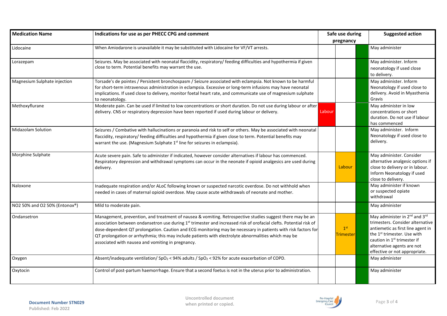| <b>Medication Name</b>        | Indications for use as per PHECC CPG and comment                                                                                                                                                                                                                                                                                                                                                                                                                                                                          |        | Safe use during                     | <b>Suggested action</b>                                                                                                                                                                                                                                                             |
|-------------------------------|---------------------------------------------------------------------------------------------------------------------------------------------------------------------------------------------------------------------------------------------------------------------------------------------------------------------------------------------------------------------------------------------------------------------------------------------------------------------------------------------------------------------------|--------|-------------------------------------|-------------------------------------------------------------------------------------------------------------------------------------------------------------------------------------------------------------------------------------------------------------------------------------|
|                               |                                                                                                                                                                                                                                                                                                                                                                                                                                                                                                                           |        | pregnancy                           |                                                                                                                                                                                                                                                                                     |
| Lidocaine                     | When Amiodarone is unavailable it may be substituted with Lidocaine for VF/VT arrests.                                                                                                                                                                                                                                                                                                                                                                                                                                    |        |                                     | May administer                                                                                                                                                                                                                                                                      |
| Lorazepam                     | Seizures. May be associated with neonatal flaccidity, respiratory/ feeding difficulties and hypothermia if given<br>close to term. Potential benefits may warrant the use.                                                                                                                                                                                                                                                                                                                                                |        |                                     | May administer. Inform<br>neonatology if used close<br>to delivery.                                                                                                                                                                                                                 |
| Magnesium Sulphate injection  | Torsade's de pointes / Persistent bronchospasm / Seizure associated with eclampsia. Not known to be harmful<br>for short-term intravenous administration in eclampsia. Excessive or long-term infusions may have neonatal<br>implications. If used close to delivery, monitor foetal heart rate, and communicate use of magnesium sulphate<br>to neonatology.                                                                                                                                                             |        |                                     | May administer. Inform<br>Neonatology if used close to<br>delivery. Avoid in Myasthenia<br>Gravis                                                                                                                                                                                   |
| Methoxyflurane                | Moderate pain. Can be used if limited to low concentrations or short duration. Do not use during labour or after<br>delivery. CNS or respiratory depression have been reported if used during labour or delivery.                                                                                                                                                                                                                                                                                                         | Labour |                                     | May administer in low<br>concentrations or short<br>duration. Do not use if labour<br>has commenced                                                                                                                                                                                 |
| Midazolam Solution            | Seizures / Combative with hallucinations or paranoia and risk to self or others. May be associated with neonatal<br>flaccidity, respiratory/ feeding difficulties and hypothermia if given close to term. Potential benefits may<br>warrant the use. (Magnesium Sulphate 1 <sup>st</sup> line for seizures in eclampsia).                                                                                                                                                                                                 |        |                                     | May administer. Inform<br>Neonatology if used close to<br>delivery.                                                                                                                                                                                                                 |
| Morphine Sulphate             | Acute severe pain. Safe to administer if indicated, however consider alternatives if labour has commenced.<br>Respiratory depression and withdrawal symptoms can occur in the neonate if opioid analgesics are used during<br>delivery.                                                                                                                                                                                                                                                                                   |        | Labour                              | May administer. Consider<br>alternative analgesic options if<br>close to delivery or in labour.<br>Inform Neonatology if used<br>close to delivery.                                                                                                                                 |
| Naloxone                      | Inadequate respiration and/or ALoC following known or suspected narcotic overdose. Do not withhold when<br>needed in cases of maternal opioid overdose. May cause acute withdrawals of neonate and mother.                                                                                                                                                                                                                                                                                                                |        |                                     | May administer if known<br>or suspected opiate<br>withdrawal                                                                                                                                                                                                                        |
| NO2 50% and O2 50% (Entonox®) | Mild to moderate pain.                                                                                                                                                                                                                                                                                                                                                                                                                                                                                                    |        |                                     | May administer                                                                                                                                                                                                                                                                      |
| Ondansetron                   | Management, prevention, and treatment of nausea & vomiting. Retrospective studies suggest there may be an<br>association between ondansetron use during 1 <sup>st</sup> trimester and increased risk of orofacial clefts. Potential risk of<br>dose-dependent QT prolongation. Caution and ECG monitoring may be necessary in patients with risk factors for<br>QT prolongation or arrhythmia; this may include patients with electrolyte abnormalities which may be<br>associated with nausea and vomiting in pregnancy. |        | 1 <sup>st</sup><br><b>Trimester</b> | May administer in 2 <sup>nd</sup> and 3 <sup>rd</sup><br>trimesters. Consider alternative<br>antiemetic as first line agent in<br>the 1 <sup>st</sup> trimester. Use with<br>caution in 1 <sup>st</sup> trimester if<br>alternative agents are not<br>effective or not appropriate. |
| Oxygen                        | Absent/inadequate ventilation/ $SpO2 < 94%$ adults / $SpO2 < 92%$ for acute exacerbation of COPD.                                                                                                                                                                                                                                                                                                                                                                                                                         |        |                                     | May administer                                                                                                                                                                                                                                                                      |
| Oxytocin                      | Control of post-partum haemorrhage. Ensure that a second foetus is not in the uterus prior to administration.                                                                                                                                                                                                                                                                                                                                                                                                             |        |                                     | May administer                                                                                                                                                                                                                                                                      |

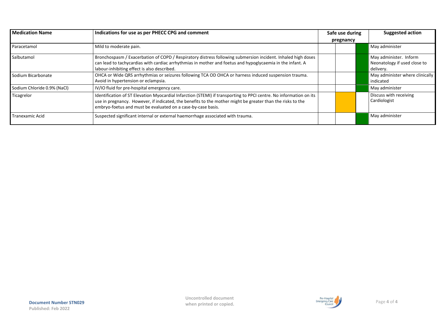| <b>Medication Name</b>      | Indications for use as per PHECC CPG and comment                                                                                                                                                                                                                                                 |  | Safe use during |  | <b>Suggested action</b>                                             |
|-----------------------------|--------------------------------------------------------------------------------------------------------------------------------------------------------------------------------------------------------------------------------------------------------------------------------------------------|--|-----------------|--|---------------------------------------------------------------------|
|                             |                                                                                                                                                                                                                                                                                                  |  | pregnancy       |  |                                                                     |
| Paracetamol                 | Mild to moderate pain.                                                                                                                                                                                                                                                                           |  |                 |  | May administer                                                      |
| Salbutamol                  | Bronchospasm / Exacerbation of COPD / Respiratory distress following submersion incident. Inhaled high doses<br>can lead to tachycardias with cardiac arrhythmias in mother and foetus and hypoglycaemia in the infant. A<br>labour-inhibiting effect is also described.                         |  |                 |  | May administer. Inform<br>Neonatology if used close to<br>delivery. |
| Sodium Bicarbonate          | OHCA or Wide QRS arrhythmias or seizures following TCA OD OHCA or harness induced suspension trauma.<br>Avoid in hypertension or eclampsia.                                                                                                                                                      |  |                 |  | May administer where clinically<br>indicated                        |
| Sodium Chloride 0.9% (NaCl) | IV/IO fluid for pre-hospital emergency care.                                                                                                                                                                                                                                                     |  |                 |  | May administer                                                      |
| Ticagrelor                  | Identification of ST Elevation Myocardial Infarction (STEMI) if transporting to PPCI centre. No information on its<br>use in pregnancy. However, if indicated, the benefits to the mother might be greater than the risks to the<br>embryo-foetus and must be evaluated on a case-by-case basis. |  |                 |  | Discuss with receiving<br>Cardiologist                              |
| Tranexamic Acid             | Suspected significant internal or external haemorrhage associated with trauma.                                                                                                                                                                                                                   |  |                 |  | May administer                                                      |